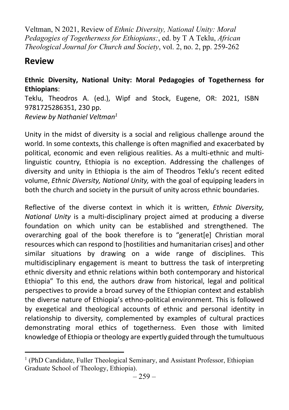Veltman, N 2021, Review of Ethnic Diversity, National Unity: Moral Pedagogies of Togetherness for Ethiopians:, ed. by T A Teklu, African Theological Journal for Church and Society, vol. 2, no. 2, pp. 259-262

## Review

## Ethnic Diversity, National Unity: Moral Pedagogies of Togetherness for Ethiopians:

Teklu, Theodros A. (ed.), Wipf and Stock, Eugene, OR: 2021, ISBN 9781725286351, 230 pp. Review by Nathaniel Veltman<sup>1</sup>

Unity in the midst of diversity is a social and religious challenge around the world. In some contexts, this challenge is often magnified and exacerbated by political, economic and even religious realities. As a multi-ethnic and multilinguistic country, Ethiopia is no exception. Addressing the challenges of diversity and unity in Ethiopia is the aim of Theodros Teklu's recent edited volume, Ethnic Diversity, National Unity, with the goal of equipping leaders in both the church and society in the pursuit of unity across ethnic boundaries.

Reflective of the diverse context in which it is written, *Ethnic Diversity*, National Unity is a multi-disciplinary project aimed at producing a diverse foundation on which unity can be established and strengthened. The overarching goal of the book therefore is to "generat[e] Christian moral resources which can respond to [hostilities and humanitarian crises] and other similar situations by drawing on a wide range of disciplines. This multidisciplinary engagement is meant to buttress the task of interpreting ethnic diversity and ethnic relations within both contemporary and historical Ethiopia" To this end, the authors draw from historical, legal and political perspectives to provide a broad survey of the Ethiopian context and establish the diverse nature of Ethiopia's ethno-political environment. This is followed by exegetical and theological accounts of ethnic and personal identity in relationship to diversity, complemented by examples of cultural practices demonstrating moral ethics of togetherness. Even those with limited knowledge of Ethiopia or theology are expertly guided through the tumultuous

<sup>&</sup>lt;sup>1</sup> (PhD Candidate, Fuller Theological Seminary, and Assistant Professor, Ethiopian Graduate School of Theology, Ethiopia).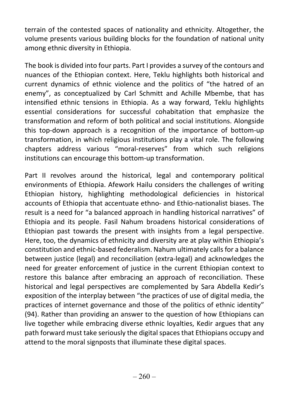terrain of the contested spaces of nationality and ethnicity. Altogether, the volume presents various building blocks for the foundation of national unity among ethnic diversity in Ethiopia.

The book is divided into four parts. Part I provides a survey of the contours and nuances of the Ethiopian context. Here, Teklu highlights both historical and current dynamics of ethnic violence and the politics of "the hatred of an enemy", as conceptualized by Carl Schmitt and Achille Mbembe, that has intensified ethnic tensions in Ethiopia. As a way forward, Teklu highlights essential considerations for successful cohabitation that emphasize the transformation and reform of both political and social institutions. Alongside this top-down approach is a recognition of the importance of bottom-up transformation, in which religious institutions play a vital role. The following chapters address various "moral-reserves" from which such religions institutions can encourage this bottom-up transformation.

Part II revolves around the historical, legal and contemporary political environments of Ethiopia. Afework Hailu considers the challenges of writing Ethiopian history, highlighting methodological deficiencies in historical accounts of Ethiopia that accentuate ethno- and Ethio-nationalist biases. The result is a need for "a balanced approach in handling historical narratives" of Ethiopia and its people. Fasil Nahum broadens historical considerations of Ethiopian past towards the present with insights from a legal perspective. Here, too, the dynamics of ethnicity and diversity are at play within Ethiopia's constitution and ethnic-based federalism. Nahum ultimately calls for a balance between justice (legal) and reconciliation (extra-legal) and acknowledges the need for greater enforcement of justice in the current Ethiopian context to restore this balance after embracing an approach of reconciliation. These historical and legal perspectives are complemented by Sara Abdella Kedir's exposition of the interplay between "the practices of use of digital media, the practices of internet governance and those of the politics of ethnic identity" (94). Rather than providing an answer to the question of how Ethiopians can live together while embracing diverse ethnic loyalties, Kedir argues that any path forward must take seriously the digital spaces that Ethiopians occupy and attend to the moral signposts that illuminate these digital spaces.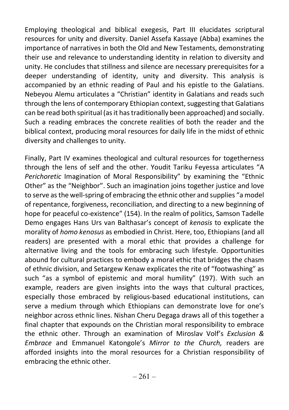Employing theological and biblical exegesis, Part III elucidates scriptural resources for unity and diversity. Daniel Assefa Kassaye (Abba) examines the importance of narratives in both the Old and New Testaments, demonstrating their use and relevance to understanding identity in relation to diversity and unity. He concludes that stillness and silence are necessary prerequisites for a deeper understanding of identity, unity and diversity. This analysis is accompanied by an ethnic reading of Paul and his epistle to the Galatians. Nebeyou Alemu articulates a "Christian" identity in Galatians and reads such through the lens of contemporary Ethiopian context, suggesting that Galatians can be read both spiritual (as it has traditionally been approached) and socially. Such a reading embraces the concrete realities of both the reader and the biblical context, producing moral resources for daily life in the midst of ethnic diversity and challenges to unity.

Finally, Part IV examines theological and cultural resources for togetherness through the lens of self and the other. Youdit Tariku Feyessa articulates "A Perichoretic Imagination of Moral Responsibility" by examining the "Ethnic Other" as the "Neighbor". Such an imagination joins together justice and love to serve as the well-spring of embracing the ethnic other and supplies "a model of repentance, forgiveness, reconciliation, and directing to a new beginning of hope for peaceful co-existence" (154). In the realm of politics, Samson Tadelle Demo engages Hans Urs van Balthasar's concept of kenosis to explicate the morality of homo kenosus as embodied in Christ. Here, too, Ethiopians (and all readers) are presented with a moral ethic that provides a challenge for alternative living and the tools for embracing such lifestyle. Opportunities abound for cultural practices to embody a moral ethic that bridges the chasm of ethnic division, and Setargew Kenaw explicates the rite of "footwashing" as such "as a symbol of epistemic and moral humility" (197). With such an example, readers are given insights into the ways that cultural practices, especially those embraced by religious-based educational institutions, can serve a medium through which Ethiopians can demonstrate love for one's neighbor across ethnic lines. Nishan Cheru Degaga draws all of this together a final chapter that expounds on the Christian moral responsibility to embrace the ethnic other. Through an examination of Miroslav Volf's Exclusion & Embrace and Emmanuel Katongole's Mirror to the Church, readers are afforded insights into the moral resources for a Christian responsibility of embracing the ethnic other.